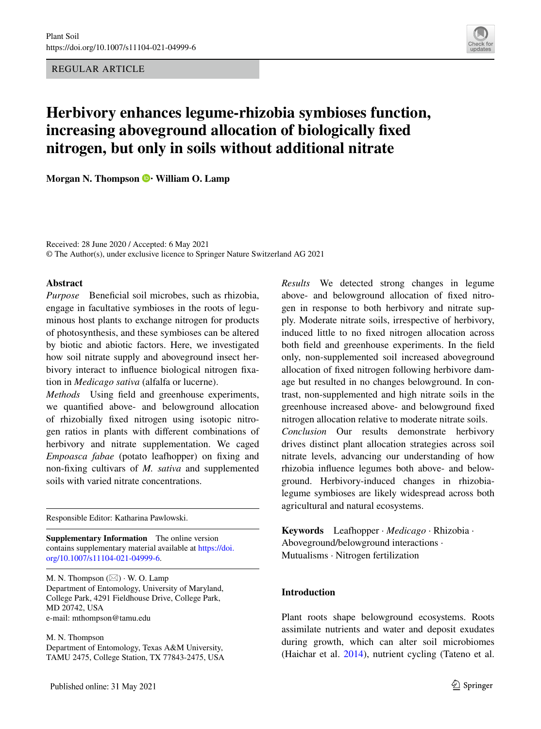REGULAR ARTICLE



# **Herbivory enhances legume‑rhizobia symbioses function, increasing aboveground allocation of biologically fxed nitrogen, but only in soils without additional nitrate**

**MorganN. Thompson**  $\bullet$  **<b>William O. Lamp** 

Received: 28 June 2020 / Accepted: 6 May 2021 © The Author(s), under exclusive licence to Springer Nature Switzerland AG 2021

## **Abstract**

*Purpose* Beneficial soil microbes, such as rhizobia, engage in facultative symbioses in the roots of leguminous host plants to exchange nitrogen for products of photosynthesis, and these symbioses can be altered by biotic and abiotic factors. Here, we investigated how soil nitrate supply and aboveground insect herbivory interact to infuence biological nitrogen fxation in *Medicago sativa* (alfalfa or lucerne).

*Methods* Using feld and greenhouse experiments, we quantifed above- and belowground allocation of rhizobially fxed nitrogen using isotopic nitrogen ratios in plants with diferent combinations of herbivory and nitrate supplementation. We caged *Empoasca fabae* (potato leafhopper) on fxing and non-fxing cultivars of *M. sativa* and supplemented soils with varied nitrate concentrations.

Responsible Editor: Katharina Pawlowski.

**Supplementary Information** The online version contains supplementary material available at [https://doi.](https://doi.org/10.1007/s11104-021-04999-6) [org/10.1007/s11104-021-04999-6.](https://doi.org/10.1007/s11104-021-04999-6)

M. N. Thompson  $(\boxtimes) \cdot$  W. O. Lamp Department of Entomology, University of Maryland, College Park, 4291 Fieldhouse Drive, College Park, MD 20742, USA e-mail: mthompson@tamu.edu

M. N. Thompson Department of Entomology, Texas A&M University, TAMU 2475, College Station, TX 77843-2475, USA *Results* We detected strong changes in legume above- and belowground allocation of fxed nitrogen in response to both herbivory and nitrate supply. Moderate nitrate soils, irrespective of herbivory, induced little to no fxed nitrogen allocation across both feld and greenhouse experiments. In the feld only, non-supplemented soil increased aboveground allocation of fxed nitrogen following herbivore damage but resulted in no changes belowground. In contrast, non-supplemented and high nitrate soils in the greenhouse increased above- and belowground fxed nitrogen allocation relative to moderate nitrate soils. *Conclusion* Our results demonstrate herbivory drives distinct plant allocation strategies across soil nitrate levels, advancing our understanding of how rhizobia infuence legumes both above- and belowground. Herbivory-induced changes in rhizobialegume symbioses are likely widespread across both agricultural and natural ecosystems.

**Keywords** Leafhopper · *Medicago* · Rhizobia · Aboveground/belowground interactions · Mutualisms · Nitrogen fertilization

# **Introduction**

Plant roots shape belowground ecosystems. Roots assimilate nutrients and water and deposit exudates during growth, which can alter soil microbiomes (Haichar et al. [2014\)](#page-13-0), nutrient cycling (Tateno et al.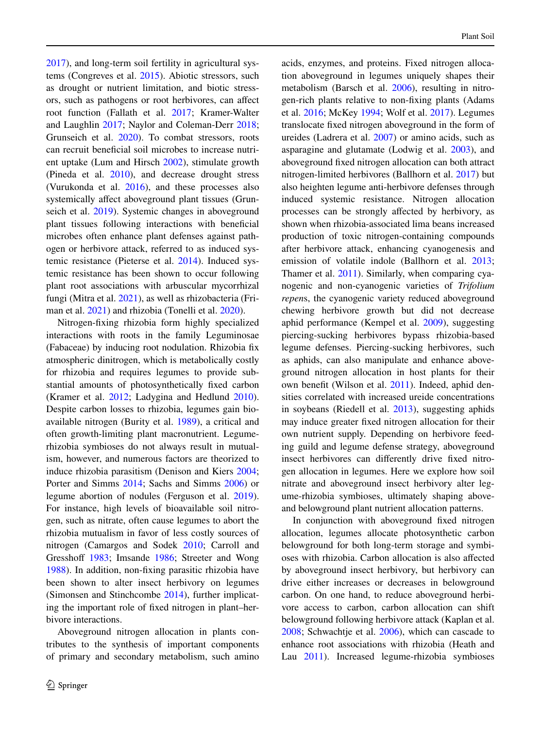[2017\)](#page-15-0), and long-term soil fertility in agricultural systems (Congreves et al. [2015\)](#page-13-1). Abiotic stressors, such as drought or nutrient limitation, and biotic stressors, such as pathogens or root herbivores, can afect root function (Fallath et al. [2017;](#page-13-2) Kramer-Walter and Laughlin [2017;](#page-14-0) Naylor and Coleman-Derr [2018](#page-14-1); Grunseich et al. [2020\)](#page-13-3). To combat stressors, roots can recruit benefcial soil microbes to increase nutrient uptake (Lum and Hirsch [2002](#page-14-2)), stimulate growth (Pineda et al. [2010](#page-14-3)), and decrease drought stress (Vurukonda et al.  $2016$ ), and these processes also systemically affect aboveground plant tissues (Grunseich et al. [2019](#page-13-4)). Systemic changes in aboveground plant tissues following interactions with benefcial microbes often enhance plant defenses against pathogen or herbivore attack, referred to as induced systemic resistance (Pieterse et al. [2014](#page-14-4)). Induced systemic resistance has been shown to occur following plant root associations with arbuscular mycorrhizal fungi (Mitra et al. [2021\)](#page-14-5), as well as rhizobacteria (Friman et al. [2021](#page-13-5)) and rhizobia (Tonelli et al. [2020\)](#page-15-2).

Nitrogen-fxing rhizobia form highly specialized interactions with roots in the family Leguminosae (Fabaceae) by inducing root nodulation. Rhizobia fx atmospheric dinitrogen, which is metabolically costly for rhizobia and requires legumes to provide substantial amounts of photosynthetically fxed carbon (Kramer et al. [2012](#page-14-6); Ladygina and Hedlund [2010](#page-14-7)). Despite carbon losses to rhizobia, legumes gain bioavailable nitrogen (Burity et al. [1989\)](#page-12-0), a critical and often growth-limiting plant macronutrient. Legumerhizobia symbioses do not always result in mutualism, however, and numerous factors are theorized to induce rhizobia parasitism (Denison and Kiers [2004](#page-13-6); Porter and Simms [2014](#page-14-8); Sachs and Simms [2006\)](#page-15-3) or legume abortion of nodules (Ferguson et al. [2019](#page-13-7)). For instance, high levels of bioavailable soil nitrogen, such as nitrate, often cause legumes to abort the rhizobia mutualism in favor of less costly sources of nitrogen (Camargos and Sodek [2010](#page-12-1); Carroll and Gresshoff [1983](#page-13-8); Imsande [1986](#page-13-9); Streeter and Wong [1988\)](#page-15-4). In addition, non-fxing parasitic rhizobia have been shown to alter insect herbivory on legumes (Simonsen and Stinchcombe [2014](#page-15-5)), further implicating the important role of fxed nitrogen in plant–herbivore interactions.

Aboveground nitrogen allocation in plants contributes to the synthesis of important components of primary and secondary metabolism, such amino acids, enzymes, and proteins. Fixed nitrogen allocation aboveground in legumes uniquely shapes their metabolism (Barsch et al. [2006\)](#page-12-2), resulting in nitrogen-rich plants relative to non-fxing plants (Adams et al. [2016](#page-12-3); McKey [1994;](#page-14-9) Wolf et al. [2017](#page-15-6)). Legumes translocate fxed nitrogen aboveground in the form of ureides (Ladrera et al. [2007\)](#page-14-10) or amino acids, such as asparagine and glutamate (Lodwig et al. [2003](#page-14-11)), and aboveground fxed nitrogen allocation can both attract nitrogen-limited herbivores (Ballhorn et al. [2017](#page-12-4)) but also heighten legume anti-herbivore defenses through induced systemic resistance. Nitrogen allocation processes can be strongly afected by herbivory, as shown when rhizobia-associated lima beans increased production of toxic nitrogen-containing compounds after herbivore attack, enhancing cyanogenesis and emission of volatile indole (Ballhorn et al. [2013;](#page-12-5) Thamer et al. [2011\)](#page-15-7). Similarly, when comparing cyanogenic and non-cyanogenic varieties of *Trifolium repen*s, the cyanogenic variety reduced aboveground chewing herbivore growth but did not decrease aphid performance (Kempel et al. [2009](#page-14-12)), suggesting piercing-sucking herbivores bypass rhizobia-based legume defenses. Piercing-sucking herbivores, such as aphids, can also manipulate and enhance aboveground nitrogen allocation in host plants for their own beneft (Wilson et al. [2011\)](#page-15-8). Indeed, aphid densities correlated with increased ureide concentrations in soybeans (Riedell et al. [2013\)](#page-15-9), suggesting aphids may induce greater fxed nitrogen allocation for their own nutrient supply. Depending on herbivore feeding guild and legume defense strategy, aboveground insect herbivores can diferently drive fxed nitrogen allocation in legumes. Here we explore how soil nitrate and aboveground insect herbivory alter legume-rhizobia symbioses, ultimately shaping aboveand belowground plant nutrient allocation patterns.

In conjunction with aboveground fxed nitrogen allocation, legumes allocate photosynthetic carbon belowground for both long-term storage and symbioses with rhizobia. Carbon allocation is also afected by aboveground insect herbivory, but herbivory can drive either increases or decreases in belowground carbon. On one hand, to reduce aboveground herbivore access to carbon, carbon allocation can shift belowground following herbivore attack (Kaplan et al. [2008;](#page-13-10) Schwachtje et al. [2006\)](#page-15-10), which can cascade to enhance root associations with rhizobia (Heath and Lau [2011\)](#page-13-11). Increased legume-rhizobia symbioses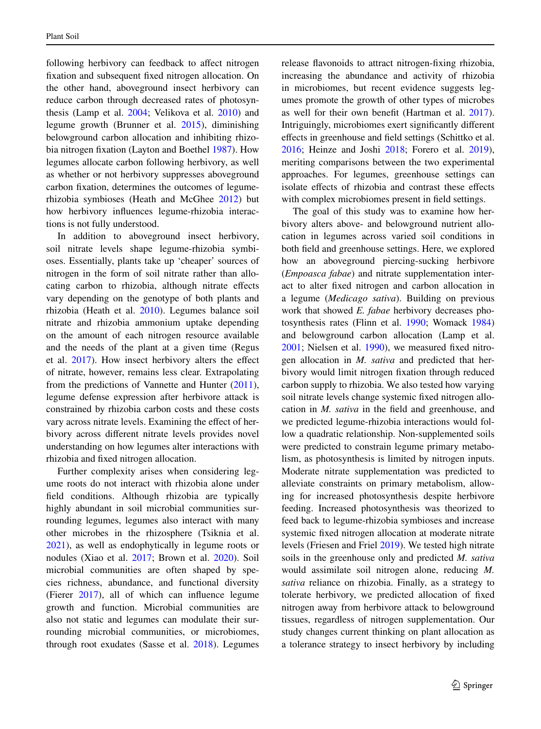following herbivory can feedback to affect nitrogen fxation and subsequent fxed nitrogen allocation. On the other hand, aboveground insect herbivory can reduce carbon through decreased rates of photosynthesis (Lamp et al. [2004](#page-14-13); Velikova et al. [2010](#page-15-11)) and legume growth (Brunner et al. [2015](#page-12-6)), diminishing belowground carbon allocation and inhibiting rhizobia nitrogen fxation (Layton and Boethel [1987\)](#page-14-14). How legumes allocate carbon following herbivory, as well as whether or not herbivory suppresses aboveground carbon fxation, determines the outcomes of legumerhizobia symbioses (Heath and McGhee [2012](#page-13-12)) but how herbivory infuences legume-rhizobia interactions is not fully understood.

In addition to aboveground insect herbivory, soil nitrate levels shape legume-rhizobia symbioses. Essentially, plants take up 'cheaper' sources of nitrogen in the form of soil nitrate rather than allocating carbon to rhizobia, although nitrate efects vary depending on the genotype of both plants and rhizobia (Heath et al. [2010](#page-13-13)). Legumes balance soil nitrate and rhizobia ammonium uptake depending on the amount of each nitrogen resource available and the needs of the plant at a given time (Regus et al. [2017](#page-15-12)). How insect herbivory alters the efect of nitrate, however, remains less clear. Extrapolating from the predictions of Vannette and Hunter [\(2011](#page-15-13)), legume defense expression after herbivore attack is constrained by rhizobia carbon costs and these costs vary across nitrate levels. Examining the efect of herbivory across diferent nitrate levels provides novel understanding on how legumes alter interactions with rhizobia and fxed nitrogen allocation.

Further complexity arises when considering legume roots do not interact with rhizobia alone under feld conditions. Although rhizobia are typically highly abundant in soil microbial communities surrounding legumes, legumes also interact with many other microbes in the rhizosphere (Tsiknia et al. [2021\)](#page-15-14), as well as endophytically in legume roots or nodules (Xiao et al. [2017;](#page-15-15) Brown et al. [2020](#page-12-7)). Soil microbial communities are often shaped by species richness, abundance, and functional diversity (Fierer [2017\)](#page-13-14), all of which can infuence legume growth and function. Microbial communities are also not static and legumes can modulate their surrounding microbial communities, or microbiomes, through root exudates (Sasse et al. [2018\)](#page-15-16). Legumes release favonoids to attract nitrogen-fxing rhizobia, increasing the abundance and activity of rhizobia in microbiomes, but recent evidence suggests legumes promote the growth of other types of microbes as well for their own beneft (Hartman et al. [2017\)](#page-13-15). Intriguingly, microbiomes exert signifcantly diferent efects in greenhouse and feld settings (Schittko et al. [2016;](#page-15-17) Heinze and Joshi [2018;](#page-13-16) Forero et al. [2019\)](#page-13-17), meriting comparisons between the two experimental approaches. For legumes, greenhouse settings can isolate efects of rhizobia and contrast these efects with complex microbiomes present in feld settings.

The goal of this study was to examine how herbivory alters above- and belowground nutrient allocation in legumes across varied soil conditions in both feld and greenhouse settings. Here, we explored how an aboveground piercing-sucking herbivore (*Empoasca fabae*) and nitrate supplementation interact to alter fxed nitrogen and carbon allocation in a legume (*Medicago sativa*). Building on previous work that showed *E. fabae* herbivory decreases photosynthesis rates (Flinn et al. [1990;](#page-13-18) Womack [1984](#page-15-18)) and belowground carbon allocation (Lamp et al. [2001;](#page-14-15) Nielsen et al. [1990\)](#page-14-16), we measured fxed nitrogen allocation in *M. sativa* and predicted that herbivory would limit nitrogen fxation through reduced carbon supply to rhizobia. We also tested how varying soil nitrate levels change systemic fxed nitrogen allocation in *M. sativa* in the feld and greenhouse, and we predicted legume-rhizobia interactions would follow a quadratic relationship. Non-supplemented soils were predicted to constrain legume primary metabolism, as photosynthesis is limited by nitrogen inputs. Moderate nitrate supplementation was predicted to alleviate constraints on primary metabolism, allowing for increased photosynthesis despite herbivore feeding. Increased photosynthesis was theorized to feed back to legume-rhizobia symbioses and increase systemic fxed nitrogen allocation at moderate nitrate levels (Friesen and Friel [2019\)](#page-13-19). We tested high nitrate soils in the greenhouse only and predicted *M. sativa* would assimilate soil nitrogen alone, reducing *M. sativa* reliance on rhizobia. Finally, as a strategy to tolerate herbivory, we predicted allocation of fxed nitrogen away from herbivore attack to belowground tissues, regardless of nitrogen supplementation. Our study changes current thinking on plant allocation as a tolerance strategy to insect herbivory by including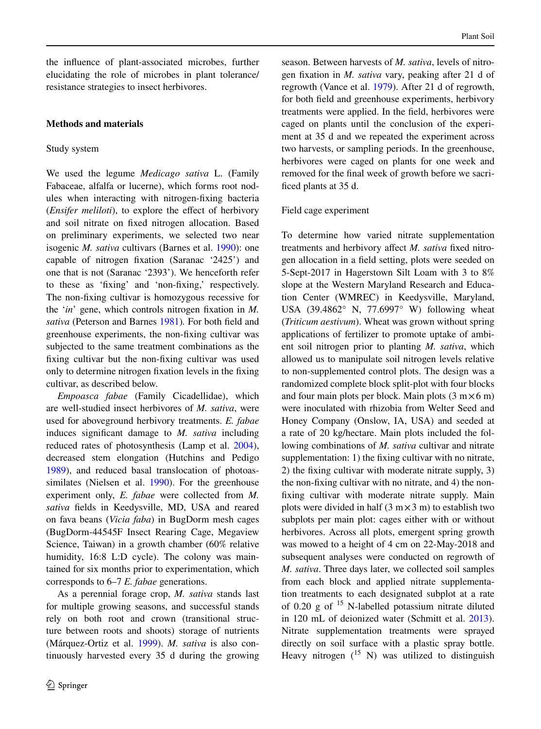the infuence of plant-associated microbes, further elucidating the role of microbes in plant tolerance/ resistance strategies to insect herbivores.

# **Methods and materials**

## Study system

We used the legume *Medicago sativa* L. (Family Fabaceae, alfalfa or lucerne), which forms root nodules when interacting with nitrogen-fxing bacteria (*Ensifer meliloti*), to explore the effect of herbivory and soil nitrate on fxed nitrogen allocation. Based on preliminary experiments, we selected two near isogenic *M. sativa* cultivars (Barnes et al. [1990\)](#page-12-8): one capable of nitrogen fxation (Saranac '2425') and one that is not (Saranac '2393'). We henceforth refer to these as 'fxing' and 'non-fxing,' respectively. The non-fxing cultivar is homozygous recessive for the '*in*' gene, which controls nitrogen fxation in *M. sativa* (Peterson and Barnes [1981\)](#page-14-17)*.* For both feld and greenhouse experiments, the non-fxing cultivar was subjected to the same treatment combinations as the fxing cultivar but the non-fxing cultivar was used only to determine nitrogen fxation levels in the fxing cultivar, as described below.

*Empoasca fabae* (Family Cicadellidae), which are well-studied insect herbivores of *M. sativa*, were used for aboveground herbivory treatments. *E. fabae* induces signifcant damage to *M. sativa* including reduced rates of photosynthesis (Lamp et al. [2004](#page-14-13)), decreased stem elongation (Hutchins and Pedigo [1989\)](#page-13-20), and reduced basal translocation of photoas-similates (Nielsen et al. [1990](#page-14-16)). For the greenhouse experiment only, *E. fabae* were collected from *M. sativa* felds in Keedysville, MD, USA and reared on fava beans (*Vicia faba*) in BugDorm mesh cages (BugDorm-44545F Insect Rearing Cage, Megaview Science, Taiwan) in a growth chamber (60% relative humidity, 16:8 L:D cycle). The colony was maintained for six months prior to experimentation, which corresponds to 6–7 *E. fabae* generations.

As a perennial forage crop, *M. sativa* stands last for multiple growing seasons, and successful stands rely on both root and crown (transitional structure between roots and shoots) storage of nutrients (Márquez‐Ortiz et al. [1999](#page-14-18)). *M. sativa* is also continuously harvested every 35 d during the growing season. Between harvests of *M. sativa*, levels of nitrogen fxation in *M. sativa* vary, peaking after 21 d of regrowth (Vance et al. [1979](#page-15-19)). After 21 d of regrowth, for both feld and greenhouse experiments, herbivory treatments were applied. In the feld, herbivores were caged on plants until the conclusion of the experiment at 35 d and we repeated the experiment across two harvests, or sampling periods. In the greenhouse, herbivores were caged on plants for one week and removed for the fnal week of growth before we sacrificed plants at 35 d.

## Field cage experiment

To determine how varied nitrate supplementation treatments and herbivory afect *M. sativa* fxed nitrogen allocation in a feld setting, plots were seeded on 5-Sept-2017 in Hagerstown Silt Loam with 3 to 8% slope at the Western Maryland Research and Education Center (WMREC) in Keedysville, Maryland, USA (39.4862° N, 77.6997° W) following wheat (*Triticum aestivum*). Wheat was grown without spring applications of fertilizer to promote uptake of ambient soil nitrogen prior to planting *M. sativa*, which allowed us to manipulate soil nitrogen levels relative to non-supplemented control plots. The design was a randomized complete block split-plot with four blocks and four main plots per block. Main plots  $(3 \text{ m} \times 6 \text{ m})$ were inoculated with rhizobia from Welter Seed and Honey Company (Onslow, IA, USA) and seeded at a rate of 20 kg/hectare. Main plots included the following combinations of *M. sativa* cultivar and nitrate supplementation: 1) the fixing cultivar with no nitrate, 2) the fxing cultivar with moderate nitrate supply, 3) the non-fxing cultivar with no nitrate, and 4) the nonfxing cultivar with moderate nitrate supply. Main plots were divided in half  $(3 \text{ m} \times 3 \text{ m})$  to establish two subplots per main plot: cages either with or without herbivores. Across all plots, emergent spring growth was mowed to a height of 4 cm on 22-May-2018 and subsequent analyses were conducted on regrowth of *M. sativa*. Three days later, we collected soil samples from each block and applied nitrate supplementation treatments to each designated subplot at a rate of 0.20  $g$  of  $^{15}$  N-labelled potassium nitrate diluted in 120 mL of deionized water (Schmitt et al. [2013](#page-15-20)). Nitrate supplementation treatments were sprayed directly on soil surface with a plastic spray bottle. Heavy nitrogen  $(15 \text{ N})$  was utilized to distinguish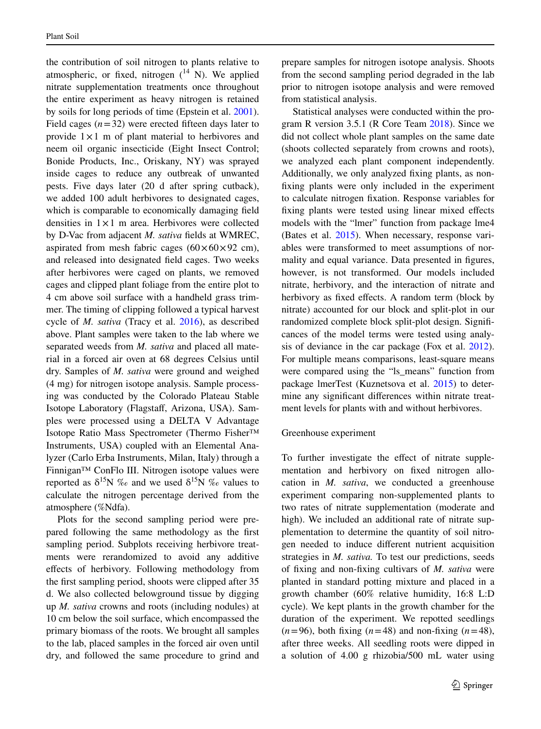the contribution of soil nitrogen to plants relative to atmospheric, or fixed, nitrogen  $(^{14}$  N). We applied nitrate supplementation treatments once throughout the entire experiment as heavy nitrogen is retained by soils for long periods of time (Epstein et al. [2001](#page-13-21)). Field cages  $(n=32)$  were erected fifteen days later to provide  $1 \times 1$  m of plant material to herbivores and neem oil organic insecticide (Eight Insect Control; Bonide Products, Inc., Oriskany, NY) was sprayed inside cages to reduce any outbreak of unwanted pests. Five days later (20 d after spring cutback), we added 100 adult herbivores to designated cages, which is comparable to economically damaging feld densities in  $1 \times 1$  m area. Herbivores were collected by D-Vac from adjacent *M. sativa* felds at WMREC, aspirated from mesh fabric cages  $(60 \times 60 \times 92 \text{ cm})$ , and released into designated feld cages. Two weeks after herbivores were caged on plants, we removed cages and clipped plant foliage from the entire plot to 4 cm above soil surface with a handheld grass trimmer. The timing of clipping followed a typical harvest cycle of *M. sativa* (Tracy et al. [2016\)](#page-15-21), as described above. Plant samples were taken to the lab where we separated weeds from *M. sativa* and placed all material in a forced air oven at 68 degrees Celsius until dry. Samples of *M. sativa* were ground and weighed (4 mg) for nitrogen isotope analysis. Sample processing was conducted by the Colorado Plateau Stable Isotope Laboratory (Flagstaff, Arizona, USA). Samples were processed using a DELTA V Advantage Isotope Ratio Mass Spectrometer (Thermo Fisher™ Instruments, USA) coupled with an Elemental Analyzer (Carlo Erba Instruments, Milan, Italy) through a Finnigan™ ConFlo III. Nitrogen isotope values were reported as  $\delta^{15}N$  ‰ and we used  $\delta^{15}N$  ‰ values to calculate the nitrogen percentage derived from the atmosphere (%Ndfa).

Plots for the second sampling period were prepared following the same methodology as the frst sampling period. Subplots receiving herbivore treatments were rerandomized to avoid any additive efects of herbivory. Following methodology from the frst sampling period, shoots were clipped after 35 d. We also collected belowground tissue by digging up *M. sativa* crowns and roots (including nodules) at 10 cm below the soil surface, which encompassed the primary biomass of the roots. We brought all samples to the lab, placed samples in the forced air oven until dry, and followed the same procedure to grind and

prepare samples for nitrogen isotope analysis. Shoots from the second sampling period degraded in the lab prior to nitrogen isotope analysis and were removed from statistical analysis.

Statistical analyses were conducted within the program R version 3.5.1 (R Core Team [2018\)](#page-14-19). Since we did not collect whole plant samples on the same date (shoots collected separately from crowns and roots), we analyzed each plant component independently. Additionally, we only analyzed fxing plants, as nonfxing plants were only included in the experiment to calculate nitrogen fxation. Response variables for fxing plants were tested using linear mixed efects models with the "lmer" function from package lme4 (Bates et al. [2015](#page-12-9)). When necessary, response variables were transformed to meet assumptions of normality and equal variance. Data presented in fgures, however, is not transformed. Our models included nitrate, herbivory, and the interaction of nitrate and herbivory as fixed effects. A random term (block by nitrate) accounted for our block and split-plot in our randomized complete block split-plot design. Signifcances of the model terms were tested using analysis of deviance in the car package (Fox et al. [2012](#page-13-22)). For multiple means comparisons, least-square means were compared using the "ls\_means" function from package lmerTest (Kuznetsova et al. [2015\)](#page-14-20) to determine any signifcant diferences within nitrate treatment levels for plants with and without herbivores.

## Greenhouse experiment

To further investigate the effect of nitrate supplementation and herbivory on fxed nitrogen allocation in *M. sativa*, we conducted a greenhouse experiment comparing non-supplemented plants to two rates of nitrate supplementation (moderate and high). We included an additional rate of nitrate supplementation to determine the quantity of soil nitrogen needed to induce diferent nutrient acquisition strategies in *M. sativa.* To test our predictions, seeds of fxing and non-fxing cultivars of *M. sativa* were planted in standard potting mixture and placed in a growth chamber (60% relative humidity, 16:8 L:D cycle). We kept plants in the growth chamber for the duration of the experiment. We repotted seedlings  $(n=96)$ , both fixing  $(n=48)$  and non-fixing  $(n=48)$ , after three weeks. All seedling roots were dipped in a solution of 4.00 g rhizobia/500 mL water using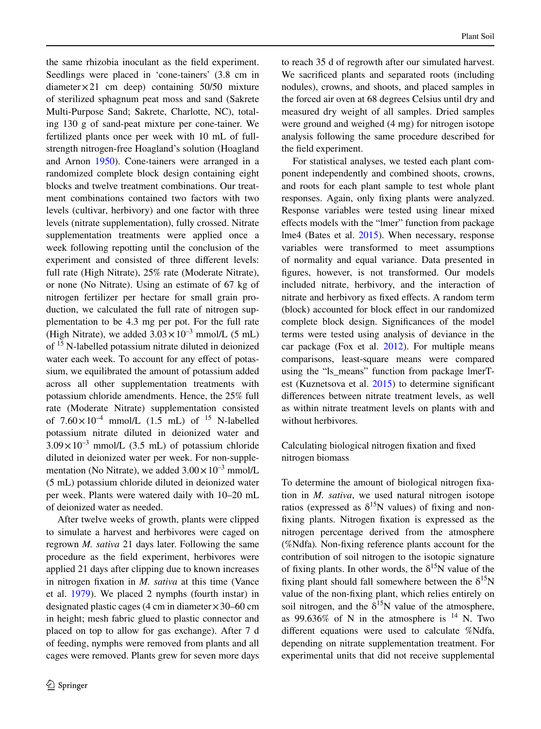the same rhizobia inoculant as the feld experiment. Seedlings were placed in 'cone-tainers' (3.8 cm in diameter $\times$ 21 cm deep) containing 50/50 mixture of sterilized sphagnum peat moss and sand (Sakrete Multi-Purpose Sand; Sakrete, Charlotte, NC), totaling 130 g of sand-peat mixture per cone-tainer. We fertilized plants once per week with 10 mL of fullstrength nitrogen-free Hoagland's solution (Hoagland and Arnon [1950](#page-13-23)). Cone-tainers were arranged in a randomized complete block design containing eight blocks and twelve treatment combinations. Our treatment combinations contained two factors with two levels (cultivar, herbivory) and one factor with three levels (nitrate supplementation), fully crossed. Nitrate supplementation treatments were applied once a week following repotting until the conclusion of the experiment and consisted of three diferent levels: full rate (High Nitrate), 25% rate (Moderate Nitrate), or none (No Nitrate). Using an estimate of 67 kg of nitrogen fertilizer per hectare for small grain production, we calculated the full rate of nitrogen supplementation to be 4.3 mg per pot. For the full rate (High Nitrate), we added  $3.03 \times 10^{-3}$  mmol/L (5 mL) of 15 N-labelled potassium nitrate diluted in deionized water each week. To account for any effect of potassium, we equilibrated the amount of potassium added across all other supplementation treatments with potassium chloride amendments. Hence, the 25% full rate (Moderate Nitrate) supplementation consisted of  $7.60 \times 10^{-4}$  mmol/L (1.5 mL) of <sup>15</sup> N-labelled potassium nitrate diluted in deionized water and  $3.09 \times 10^{-3}$  mmol/L (3.5 mL) of potassium chloride diluted in deionized water per week. For non-supplementation (No Nitrate), we added  $3.00 \times 10^{-3}$  mmol/L (5 mL) potassium chloride diluted in deionized water per week. Plants were watered daily with 10–20 mL of deionized water as needed.

After twelve weeks of growth, plants were clipped to simulate a harvest and herbivores were caged on regrown *M. sativa* 21 days later. Following the same procedure as the feld experiment, herbivores were applied 21 days after clipping due to known increases in nitrogen fxation in *M. sativa* at this time (Vance et al. [1979\)](#page-15-19). We placed 2 nymphs (fourth instar) in designated plastic cages (4 cm in diameter  $\times$  30–60 cm in height; mesh fabric glued to plastic connector and placed on top to allow for gas exchange). After 7 d of feeding, nymphs were removed from plants and all cages were removed. Plants grew for seven more days to reach 35 d of regrowth after our simulated harvest. We sacrifced plants and separated roots (including nodules), crowns, and shoots, and placed samples in the forced air oven at 68 degrees Celsius until dry and measured dry weight of all samples. Dried samples were ground and weighed (4 mg) for nitrogen isotope analysis following the same procedure described for the feld experiment.

For statistical analyses, we tested each plant component independently and combined shoots, crowns, and roots for each plant sample to test whole plant responses. Again, only fxing plants were analyzed. Response variables were tested using linear mixed efects models with the "lmer" function from package lme4 (Bates et al. [2015\)](#page-12-9). When necessary, response variables were transformed to meet assumptions of normality and equal variance. Data presented in fgures, however, is not transformed. Our models included nitrate, herbivory, and the interaction of nitrate and herbivory as fxed efects. A random term (block) accounted for block efect in our randomized complete block design. Signifcances of the model terms were tested using analysis of deviance in the car package (Fox et al.  $2012$ ). For multiple means comparisons, least-square means were compared using the "ls\_means" function from package lmerTest (Kuznetsova et al. [2015\)](#page-14-20) to determine signifcant diferences between nitrate treatment levels, as well as within nitrate treatment levels on plants with and without herbivores*.*

Calculating biological nitrogen fxation and fxed nitrogen biomass

To determine the amount of biological nitrogen fxation in *M. sativa*, we used natural nitrogen isotope ratios (expressed as  $\delta^{15}N$  values) of fixing and nonfxing plants. Nitrogen fxation is expressed as the nitrogen percentage derived from the atmosphere (%Ndfa)*.* Non-fxing reference plants account for the contribution of soil nitrogen to the isotopic signature of fixing plants. In other words, the  $\delta^{15}N$  value of the fixing plant should fall somewhere between the  $\delta^{15}N$ value of the non-fxing plant, which relies entirely on soil nitrogen, and the  $\delta^{15}N$  value of the atmosphere, as 99.636% of N in the atmosphere is  $^{14}$  N. Two diferent equations were used to calculate %Ndfa, depending on nitrate supplementation treatment. For experimental units that did not receive supplemental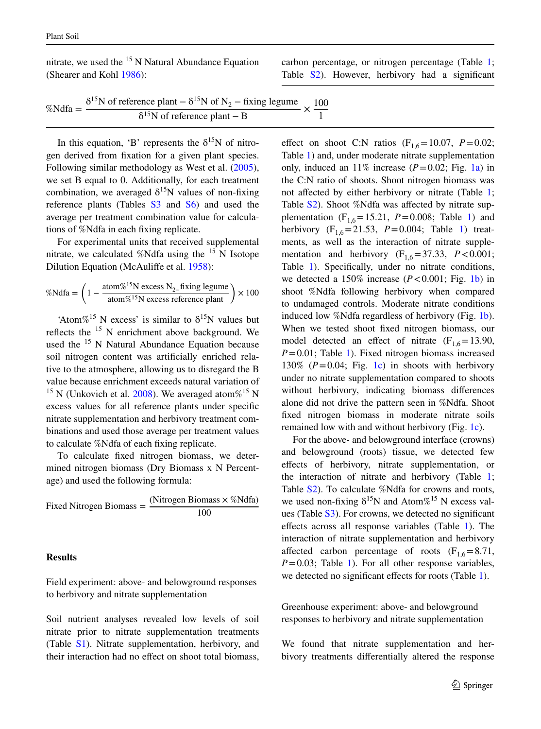nitrate, we used the  $15$  N Natural Abundance Equation (Shearer and Kohl [1986](#page-15-22)):

carbon percentage, or nitrogen percentage (Table [1;](#page-7-0) Table S2). However, herbivory had a signifcant

| %Ndfa = $\frac{6}{x}$ | $\delta^{15}$ N of reference plant – $\delta^{15}$ N of N <sub>2</sub> – fixing legume 100 |  |
|-----------------------|--------------------------------------------------------------------------------------------|--|
|                       | $\delta^{15}$ N of reference plant – B                                                     |  |

In this equation, 'B' represents the  $\delta^{15}N$  of nitrogen derived from fxation for a given plant species. Following similar methodology as West et al. [\(2005](#page-15-23)), we set B equal to 0. Additionally, for each treatment combination, we averaged  $\delta^{15}N$  values of non-fixing reference plants (Tables  $S3$  and  $S6$ ) and used the average per treatment combination value for calculations of %Ndfa in each fxing replicate.

For experimental units that received supplemental nitrate, we calculated %Ndfa using the  $15$  N Isotope Dilution Equation (McAulife et al. [1958](#page-14-21)):

$$
\% \text{Ndfa} = \left(1 - \frac{\text{atom}\%^{15}\text{N excess N}_2 \text{-fixing legume}}{\text{atom}\%^{15}\text{N excess reference plant}}\right) \times 100
$$

'Atom%<sup>15</sup> N excess' is similar to  $\delta^{15}N$  values but reflects the <sup>15</sup> N enrichment above background. We used the <sup>15</sup> N Natural Abundance Equation because soil nitrogen content was artifcially enriched relative to the atmosphere, allowing us to disregard the B value because enrichment exceeds natural variation of <sup>15</sup> N (Unkovich et al. [2008](#page-15-24)). We averaged atom%<sup>15</sup> N excess values for all reference plants under specifc nitrate supplementation and herbivory treatment combinations and used those average per treatment values to calculate %Ndfa of each fxing replicate.

To calculate fxed nitrogen biomass, we determined nitrogen biomass (Dry Biomass x N Percentage) and used the following formula:

Fixed Nitrogen Biomass = 
$$
\frac{\text{(Nitrogen Biomass} \times \%\text{Ndfa)}}{100}
$$

#### **Results**

Field experiment: above- and belowground responses to herbivory and nitrate supplementation

Soil nutrient analyses revealed low levels of soil nitrate prior to nitrate supplementation treatments (Table S1). Nitrate supplementation, herbivory, and their interaction had no effect on shoot total biomass,

effect on shoot C:N ratios  $(F_{1,6}=10.07, P=0.02;$ Table [1\)](#page-7-0) and, under moderate nitrate supplementation only, induced an  $11\%$  increase ( $P=0.02$ ; Fig. [1a\)](#page-7-1) in the C:N ratio of shoots. Shoot nitrogen biomass was not affected by either herbivory or nitrate (Table [1;](#page-7-0) Table S2). Shoot %Ndfa was affected by nitrate supplementation  $(F_{1,6}=15.21, P=0.008;$  Table [1\)](#page-7-0) and herbivory  $(F_{1,6}=21.53, P=0.004;$  $(F_{1,6}=21.53, P=0.004;$  $(F_{1,6}=21.53, P=0.004;$  Table 1) treatments, as well as the interaction of nitrate supplementation and herbivory  $(F_{1,6}=37.33, P<0.001;$ Table [1](#page-7-0)). Specifically, under no nitrate conditions, we detected a  $150\%$  increase ( $P < 0.001$ ; Fig. [1b](#page-7-1)) in shoot %Ndfa following herbivory when compared to undamaged controls. Moderate nitrate conditions induced low %Ndfa regardless of herbivory (Fig. [1b](#page-7-1)). When we tested shoot fxed nitrogen biomass, our model detected an effect of nitrate  $(F_{16}=13.90,$ *P*=0.01; Table [1\)](#page-7-0). Fixed nitrogen biomass increased 130%  $(P=0.04;$  Fig. [1c\)](#page-7-1) in shoots with herbivory under no nitrate supplementation compared to shoots without herbivory, indicating biomass diferences alone did not drive the pattern seen in %Ndfa. Shoot fxed nitrogen biomass in moderate nitrate soils remained low with and without herbivory (Fig. [1c\)](#page-7-1).

For the above- and belowground interface (crowns) and belowground (roots) tissue, we detected few efects of herbivory, nitrate supplementation, or the interaction of nitrate and herbivory (Table [1;](#page-7-0) Table S2). To calculate %Ndfa for crowns and roots, we used non-fixing  $\delta^{15}N$  and Atom%<sup>15</sup> N excess values (Table S3). For crowns, we detected no signifcant efects across all response variables (Table [1](#page-7-0)). The interaction of nitrate supplementation and herbivory affected carbon percentage of roots  $(F_{1,6}=8.71,$  $P=0.03$ ; Table [1](#page-7-0)). For all other response variables, we detected no significant effects for roots (Table [1](#page-7-0)).

Greenhouse experiment: above- and belowground responses to herbivory and nitrate supplementation

We found that nitrate supplementation and herbivory treatments diferentially altered the response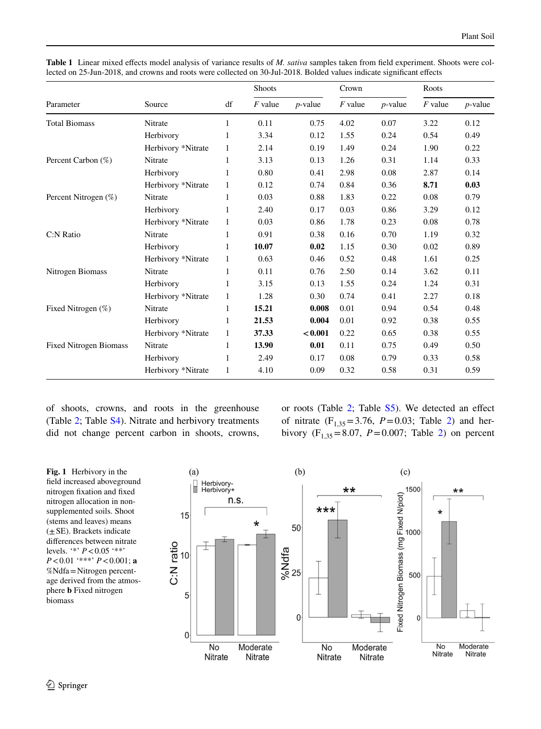|                               | Source             | df           | Shoots    |            | Crown     |            | Roots     |            |
|-------------------------------|--------------------|--------------|-----------|------------|-----------|------------|-----------|------------|
| Parameter                     |                    |              | $F$ value | $p$ -value | $F$ value | $p$ -value | $F$ value | $p$ -value |
| <b>Total Biomass</b>          | Nitrate            | 1            | 0.11      | 0.75       | 4.02      | 0.07       | 3.22      | 0.12       |
|                               | Herbivory          | 1            | 3.34      | 0.12       | 1.55      | 0.24       | 0.54      | 0.49       |
|                               | Herbivory *Nitrate | 1            | 2.14      | 0.19       | 1.49      | 0.24       | 1.90      | 0.22       |
| Percent Carbon (%)            | Nitrate            | $\mathbf{1}$ | 3.13      | 0.13       | 1.26      | 0.31       | 1.14      | 0.33       |
|                               | Herbivory          | $\mathbf{1}$ | 0.80      | 0.41       | 2.98      | 0.08       | 2.87      | 0.14       |
|                               | Herbivory *Nitrate | 1            | 0.12      | 0.74       | 0.84      | 0.36       | 8.71      | 0.03       |
| Percent Nitrogen (%)          | Nitrate            | 1            | 0.03      | 0.88       | 1.83      | 0.22       | 0.08      | 0.79       |
|                               | Herbivory          | 1            | 2.40      | 0.17       | 0.03      | 0.86       | 3.29      | 0.12       |
|                               | Herbivory *Nitrate | 1            | 0.03      | 0.86       | 1.78      | 0.23       | 0.08      | 0.78       |
| C:N Ratio                     | Nitrate            | 1            | 0.91      | 0.38       | 0.16      | 0.70       | 1.19      | 0.32       |
|                               | Herbivory          | $\mathbf{1}$ | 10.07     | 0.02       | 1.15      | 0.30       | 0.02      | 0.89       |
|                               | Herbivory *Nitrate | 1            | 0.63      | 0.46       | 0.52      | 0.48       | 1.61      | 0.25       |
| Nitrogen Biomass              | Nitrate            | 1            | 0.11      | 0.76       | 2.50      | 0.14       | 3.62      | 0.11       |
|                               | Herbivory          | 1            | 3.15      | 0.13       | 1.55      | 0.24       | 1.24      | 0.31       |
|                               | Herbivory *Nitrate | $\mathbf{1}$ | 1.28      | 0.30       | 0.74      | 0.41       | 2.27      | 0.18       |
| Fixed Nitrogen (%)            | Nitrate            | 1            | 15.21     | 0.008      | 0.01      | 0.94       | 0.54      | 0.48       |
|                               | Herbivory          | 1            | 21.53     | 0.004      | 0.01      | 0.92       | 0.38      | 0.55       |
|                               | Herbivory *Nitrate | 1            | 37.33     | < 0.001    | 0.22      | 0.65       | 0.38      | 0.55       |
| <b>Fixed Nitrogen Biomass</b> | Nitrate            | $\mathbf{1}$ | 13.90     | 0.01       | 0.11      | 0.75       | 0.49      | 0.50       |
|                               | Herbivory          | $\mathbf{1}$ | 2.49      | 0.17       | 0.08      | 0.79       | 0.33      | 0.58       |
|                               | Herbivory *Nitrate | $\mathbf{1}$ | 4.10      | 0.09       | 0.32      | 0.58       | 0.31      | 0.59       |

<span id="page-7-0"></span>**Table 1** Linear mixed efects model analysis of variance results of *M. sativa* samples taken from feld experiment. Shoots were collected on 25-Jun-2018, and crowns and roots were collected on 30-Jul-2018. Bolded values indicate signifcant efects

of shoots, crowns, and roots in the greenhouse (Table [2](#page-8-0); Table S4). Nitrate and herbivory treatments did not change percent carbon in shoots, crowns, or roots (Table  $2$ ; Table  $S5$ ). We detected an effect of nitrate  $(F_{1,35} = 3.76, P = 0.03;$  Table [2\)](#page-8-0) and herbivory  $(F_{1,35} = 8.07, P = 0.007;$  Table [2](#page-8-0)) on percent

<span id="page-7-1"></span>**Fig. 1** Herbivory in the feld increased aboveground nitrogen fxation and fxed nitrogen allocation in nonsupplemented soils. Shoot (stems and leaves) means  $(\pm$  SE). Brackets indicate diferences between nitrate levels. '\*' *P*<0.05 '\*\*' *P*<0.01 '\*\*\*' *P*<0.001; **a** %Ndfa=Nitrogen percentage derived from the atmosphere **b** Fixed nitrogen biomass

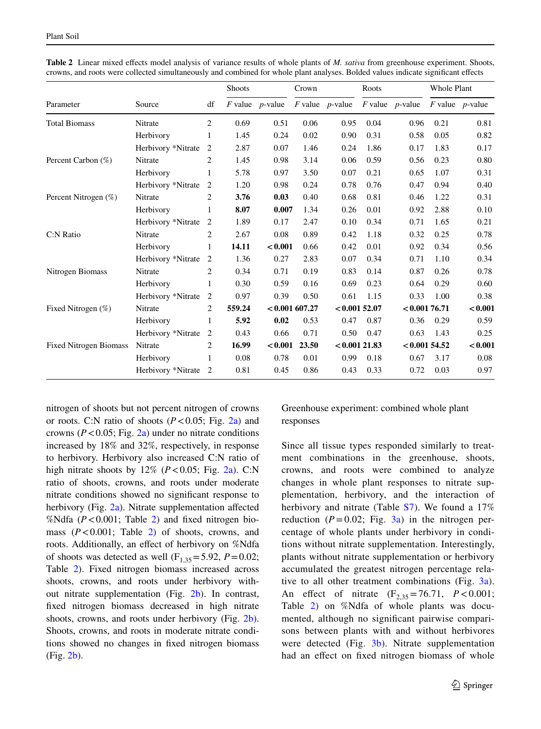|                               | Source             | df             | <b>Shoots</b> |                      | Crown            |                      | Roots        |                      | <b>Whole Plant</b> |                      |
|-------------------------------|--------------------|----------------|---------------|----------------------|------------------|----------------------|--------------|----------------------|--------------------|----------------------|
| Parameter                     |                    |                |               | $F$ value $p$ -value |                  | $F$ value $p$ -value |              | $F$ value $p$ -value |                    | $F$ value $p$ -value |
| <b>Total Biomass</b>          | Nitrate            | $\overline{2}$ | 0.69          | 0.51                 | 0.06             | 0.95                 | 0.04         | 0.96                 | 0.21               | 0.81                 |
|                               | Herbivory          | $\mathbf{1}$   | 1.45          | 0.24                 | $0.02\,$         | 0.90                 | 0.31         | 0.58                 | 0.05               | 0.82                 |
|                               | Herbivory *Nitrate | 2              | 2.87          | 0.07                 | 1.46             | 0.24                 | 1.86         | 0.17                 | 1.83               | 0.17                 |
| Percent Carbon (%)            | Nitrate            | $\overline{c}$ | 1.45          | 0.98                 | 3.14             | 0.06                 | 0.59         | 0.56                 | 0.23               | 0.80                 |
|                               | Herbivory          | $\mathbf{1}$   | 5.78          | 0.97                 | 3.50             | 0.07                 | 0.21         | 0.65                 | 1.07               | 0.31                 |
|                               | Herbivory *Nitrate | 2              | 1.20          | 0.98                 | 0.24             | 0.78                 | 0.76         | 0.47                 | 0.94               | 0.40                 |
| Percent Nitrogen (%)          | Nitrate            | $\overline{c}$ | 3.76          | 0.03                 | 0.40             | 0.68                 | 0.81         | 0.46                 | 1.22               | 0.31                 |
|                               | Herbivory          | 1              | 8.07          | 0.007                | 1.34             | 0.26                 | 0.01         | 0.92                 | 2.88               | 0.10                 |
|                               | Herbivory *Nitrate | 2              | 1.89          | 0.17                 | 2.47             | 0.10                 | 0.34         | 0.71                 | 1.65               | 0.21                 |
| C:N Ratio                     | Nitrate            | 2              | 2.67          | 0.08                 | 0.89             | 0.42                 | 1.18         | 0.32                 | 0.25               | 0.78                 |
|                               | Herbivory          | 1              | 14.11         | < 0.001              | 0.66             | 0.42                 | 0.01         | 0.92                 | 0.34               | 0.56                 |
|                               | Herbivory *Nitrate | 2              | 1.36          | 0.27                 | 2.83             | 0.07                 | 0.34         | 0.71                 | 1.10               | 0.34                 |
| Nitrogen Biomass              | Nitrate            | 2              | 0.34          | 0.71                 | 0.19             | 0.83                 | 0.14         | 0.87                 | 0.26               | 0.78                 |
|                               | Herbivory          | 1              | 0.30          | 0.59                 | 0.16             | 0.69                 | 0.23         | 0.64                 | 0.29               | 0.60                 |
|                               | Herbivory *Nitrate | 2              | 0.97          | 0.39                 | 0.50             | 0.61                 | 1.15         | 0.33                 | 1.00               | 0.38                 |
| Fixed Nitrogen (%)            | Nitrate            | 2              | 559.24        |                      | $< 0.001$ 607.27 |                      | < 0.00152.07 |                      | < 0.00176.71       | < 0.001              |
|                               | Herbivory          | $\mathbf{1}$   | 5.92          | 0.02                 | 0.53             | 0.47                 | 0.87         | 0.36                 | 0.29               | 0.59                 |
|                               | Herbivory *Nitrate | 2              | 0.43          | 0.66                 | 0.71             | 0.50                 | 0.47         | 0.63                 | 1.43               | 0.25                 |
| <b>Fixed Nitrogen Biomass</b> | Nitrate            | $\overline{c}$ | 16.99         | < 0.001              | 23.50            | $< 0.001$ 21.83      |              | < 0.00154.52         |                    | < 0.001              |
|                               | Herbivory          | 1              | 0.08          | 0.78                 | 0.01             | 0.99                 | 0.18         | 0.67                 | 3.17               | 0.08                 |
|                               | Herbivory *Nitrate | 2              | 0.81          | 0.45                 | 0.86             | 0.43                 | 0.33         | 0.72                 | 0.03               | 0.97                 |

<span id="page-8-0"></span>**Table 2** Linear mixed efects model analysis of variance results of whole plants of *M. sativa* from greenhouse experiment. Shoots, crowns, and roots were collected simultaneously and combined for whole plant analyses. Bolded values indicate signifcant efects

nitrogen of shoots but not percent nitrogen of crowns or roots. C:N ratio of shoots  $(P<0.05$ ; Fig. [2a\)](#page-9-0) and crowns ( $P < 0.05$ ; Fig. [2a\)](#page-9-0) under no nitrate conditions increased by 18% and 32%, respectively, in response to herbivory. Herbivory also increased C:N ratio of high nitrate shoots by  $12\%$  ( $P < 0.05$ ; Fig. [2a\)](#page-9-0). C:N ratio of shoots, crowns, and roots under moderate nitrate conditions showed no signifcant response to herbivory (Fig. [2a\)](#page-9-0). Nitrate supplementation affected %Ndfa  $(P<0.001$ ; Table [2](#page-8-0)) and fixed nitrogen biomass  $(P<0.001$ ; Table [2\)](#page-8-0) of shoots, crowns, and roots. Additionally, an efect of herbivory on %Ndfa of shoots was detected as well  $(F<sub>1,35</sub>=5.92, P=0.02;$ Table [2](#page-8-0)). Fixed nitrogen biomass increased across shoots, crowns, and roots under herbivory without nitrate supplementation (Fig. [2b\)](#page-9-0). In contrast, fxed nitrogen biomass decreased in high nitrate shoots, crowns, and roots under herbivory (Fig. [2b](#page-9-0)). Shoots, crowns, and roots in moderate nitrate conditions showed no changes in fxed nitrogen biomass (Fig. [2b](#page-9-0)).

# Greenhouse experiment: combined whole plant responses

Since all tissue types responded similarly to treatment combinations in the greenhouse, shoots, crowns, and roots were combined to analyze changes in whole plant responses to nitrate supplementation, herbivory, and the interaction of herbivory and nitrate (Table S7). We found a 17% reduction  $(P=0.02;$  Fig.  $3a$ ) in the nitrogen percentage of whole plants under herbivory in conditions without nitrate supplementation. Interestingly, plants without nitrate supplementation or herbivory accumulated the greatest nitrogen percentage relative to all other treatment combinations (Fig.  $3a$ ). An effect of nitrate  $(F_{2,35} = 76.71, P < 0.001;$ Table [2](#page-8-0)) on %Ndfa of whole plants was documented, although no signifcant pairwise comparisons between plants with and without herbivores were detected (Fig. [3b](#page-10-0)). Nitrate supplementation had an efect on fxed nitrogen biomass of whole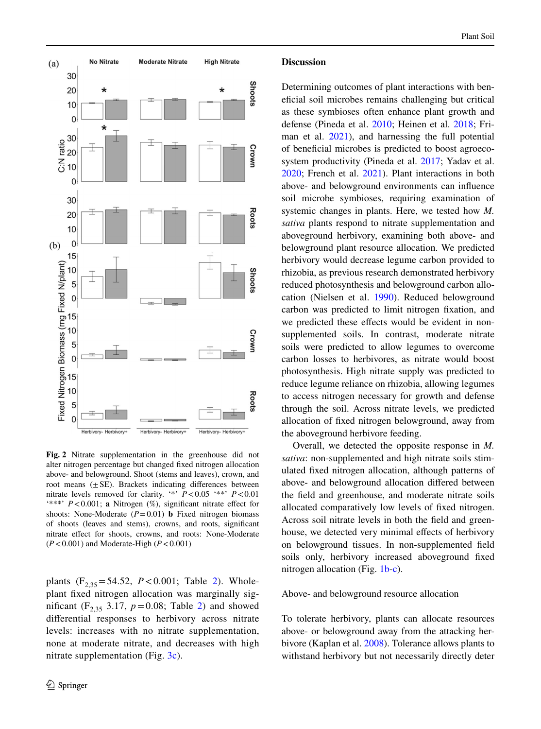

<span id="page-9-0"></span>**Fig. 2** Nitrate supplementation in the greenhouse did not alter nitrogen percentage but changed fxed nitrogen allocation above- and belowground. Shoot (stems and leaves), crown, and root means  $(\pm SE)$ . Brackets indicating differences between nitrate levels removed for clarity. '\*' *P*<0.05 '\*\*' *P*<0.01 '\*\*\*' *P*<0.001; **a** Nitrogen (%), signifcant nitrate efect for shoots: None-Moderate  $(P=0.01)$  **b** Fixed nitrogen biomass of shoots (leaves and stems), crowns, and roots, signifcant nitrate efect for shoots, crowns, and roots: None-Moderate (*P*<0.001) and Moderate-High (*P*<0.001)

plants  $(F_{2,35} = 54.52, P < 0.001$  $(F_{2,35} = 54.52, P < 0.001$  $(F_{2,35} = 54.52, P < 0.001$ ; Table 2). Wholeplant fxed nitrogen allocation was marginally significant  $(F_{2,35} 3.17, p=0.08;$  Table [2\)](#page-8-0) and showed diferential responses to herbivory across nitrate levels: increases with no nitrate supplementation, none at moderate nitrate, and decreases with high nitrate supplementation (Fig. [3c](#page-10-0)).

### **Discussion**

Determining outcomes of plant interactions with benefcial soil microbes remains challenging but critical as these symbioses often enhance plant growth and defense (Pineda et al. [2010](#page-14-3); Heinen et al. [2018;](#page-13-24) Friman et al.  $2021$ , and harnessing the full potential of benefcial microbes is predicted to boost agroecosystem productivity (Pineda et al. [2017;](#page-14-22) Yadav et al. [2020;](#page-15-25) French et al. [2021\)](#page-13-25). Plant interactions in both above- and belowground environments can infuence soil microbe symbioses, requiring examination of systemic changes in plants. Here, we tested how *M. sativa* plants respond to nitrate supplementation and aboveground herbivory, examining both above- and belowground plant resource allocation. We predicted herbivory would decrease legume carbon provided to rhizobia, as previous research demonstrated herbivory reduced photosynthesis and belowground carbon allocation (Nielsen et al. [1990](#page-14-16)). Reduced belowground carbon was predicted to limit nitrogen fxation, and we predicted these effects would be evident in nonsupplemented soils. In contrast, moderate nitrate soils were predicted to allow legumes to overcome carbon losses to herbivores, as nitrate would boost photosynthesis. High nitrate supply was predicted to reduce legume reliance on rhizobia, allowing legumes to access nitrogen necessary for growth and defense through the soil. Across nitrate levels, we predicted allocation of fxed nitrogen belowground, away from the aboveground herbivore feeding.

Overall, we detected the opposite response in *M. sativa*: non-supplemented and high nitrate soils stimulated fxed nitrogen allocation, although patterns of above- and belowground allocation difered between the feld and greenhouse, and moderate nitrate soils allocated comparatively low levels of fxed nitrogen. Across soil nitrate levels in both the feld and greenhouse, we detected very minimal effects of herbivory on belowground tissues. In non-supplemented feld soils only, herbivory increased aboveground fxed nitrogen allocation (Fig. [1b-c\)](#page-7-1).

#### Above- and belowground resource allocation

To tolerate herbivory, plants can allocate resources above- or belowground away from the attacking herbivore (Kaplan et al. [2008](#page-13-10)). Tolerance allows plants to withstand herbivory but not necessarily directly deter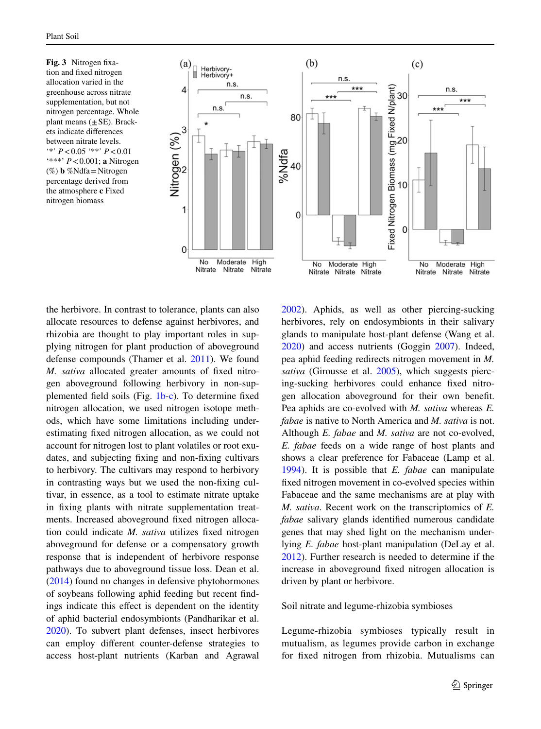<span id="page-10-0"></span>**Fig. 3** Nitrogen fxation and fxed nitrogen allocation varied in the greenhouse across nitrate supplementation, but not nitrogen percentage. Whole plant means  $(\pm SE)$ . Brackets indicate diferences between nitrate levels. '\*' *P*<0.05 '\*\*' *P*<0.01 '\*\*\*' *P*<0.001; **a** Nitrogen (%) **b** %Ndfa=Nitrogen percentage derived from the atmosphere **c** Fixed nitrogen biomass



the herbivore. In contrast to tolerance, plants can also allocate resources to defense against herbivores, and rhizobia are thought to play important roles in supplying nitrogen for plant production of aboveground defense compounds (Thamer et al. [2011\)](#page-15-7). We found *M. sativa* allocated greater amounts of fxed nitrogen aboveground following herbivory in non-supplemented feld soils (Fig. [1b-c](#page-7-1)). To determine fxed nitrogen allocation, we used nitrogen isotope methods, which have some limitations including underestimating fxed nitrogen allocation, as we could not account for nitrogen lost to plant volatiles or root exudates, and subjecting fxing and non-fxing cultivars to herbivory. The cultivars may respond to herbivory in contrasting ways but we used the non-fxing cultivar, in essence, as a tool to estimate nitrate uptake in fxing plants with nitrate supplementation treatments. Increased aboveground fxed nitrogen allocation could indicate *M. sativa* utilizes fxed nitrogen aboveground for defense or a compensatory growth response that is independent of herbivore response pathways due to aboveground tissue loss. Dean et al. [\(2014](#page-13-26)) found no changes in defensive phytohormones of soybeans following aphid feeding but recent fndings indicate this efect is dependent on the identity of aphid bacterial endosymbionts (Pandharikar et al. [2020\)](#page-14-23). To subvert plant defenses, insect herbivores can employ diferent counter-defense strategies to access host-plant nutrients (Karban and Agrawal

[2002\)](#page-14-24). Aphids, as well as other piercing-sucking herbivores, rely on endosymbionts in their salivary glands to manipulate host-plant defense (Wang et al. [2020\)](#page-15-26) and access nutrients (Goggin [2007](#page-13-27)). Indeed, pea aphid feeding redirects nitrogen movement in *M. sativa* (Girousse et al. [2005\)](#page-13-28), which suggests piercing-sucking herbivores could enhance fxed nitrogen allocation aboveground for their own beneft. Pea aphids are co-evolved with *M. sativa* whereas *E. fabae* is native to North America and *M. sativa* is not. Although *E. fabae* and *M. sativa* are not co-evolved, *E. fabae* feeds on a wide range of host plants and shows a clear preference for Fabaceae (Lamp et al. [1994\)](#page-14-25). It is possible that *E. fabae* can manipulate fxed nitrogen movement in co-evolved species within Fabaceae and the same mechanisms are at play with *M. sativa*. Recent work on the transcriptomics of *E. fabae* salivary glands identifed numerous candidate genes that may shed light on the mechanism underlying *E. fabae* host-plant manipulation (DeLay et al. [2012\)](#page-13-29). Further research is needed to determine if the increase in aboveground fxed nitrogen allocation is driven by plant or herbivore.

Soil nitrate and legume-rhizobia symbioses

Legume-rhizobia symbioses typically result in mutualism, as legumes provide carbon in exchange for fxed nitrogen from rhizobia. Mutualisms can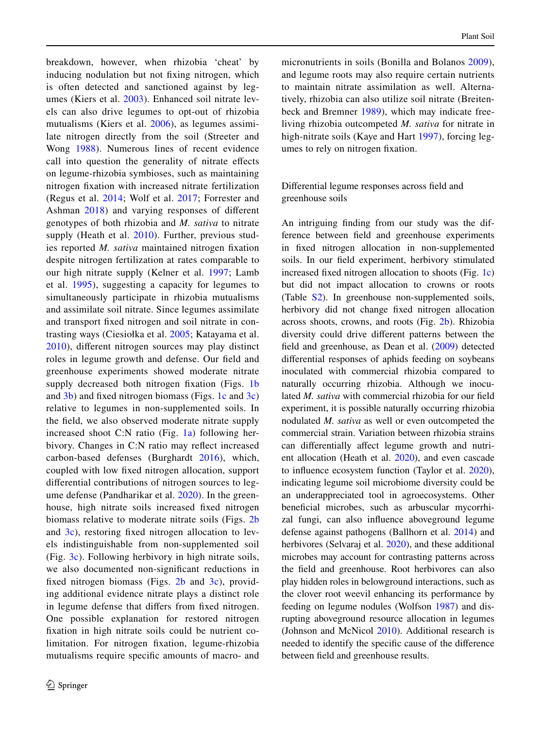breakdown, however, when rhizobia 'cheat' by inducing nodulation but not fxing nitrogen, which is often detected and sanctioned against by legumes (Kiers et al. [2003](#page-14-26)). Enhanced soil nitrate levels can also drive legumes to opt-out of rhizobia mutualisms (Kiers et al. [2006\)](#page-14-27), as legumes assimilate nitrogen directly from the soil (Streeter and Wong [1988\)](#page-15-4). Numerous lines of recent evidence call into question the generality of nitrate efects on legume-rhizobia symbioses, such as maintaining nitrogen fxation with increased nitrate fertilization (Regus et al. [2014](#page-15-27); Wolf et al. [2017](#page-15-6); Forrester and Ashman [2018](#page-13-30)) and varying responses of diferent genotypes of both rhizobia and *M. sativa* to nitrate supply (Heath et al. [2010\)](#page-13-13). Further, previous studies reported *M. sativa* maintained nitrogen fxation despite nitrogen fertilization at rates comparable to our high nitrate supply (Kelner et al. [1997](#page-14-28); Lamb et al. [1995](#page-14-29)), suggesting a capacity for legumes to simultaneously participate in rhizobia mutualisms and assimilate soil nitrate. Since legumes assimilate and transport fxed nitrogen and soil nitrate in contrasting ways (Ciesiołka et al. [2005](#page-13-31); Katayama et al. [2010](#page-14-30)), diferent nitrogen sources may play distinct roles in legume growth and defense. Our feld and greenhouse experiments showed moderate nitrate supply decreased both nitrogen fixation (Figs. [1b](#page-7-1) and [3b](#page-10-0)) and fxed nitrogen biomass (Figs. [1c](#page-7-1) and [3c\)](#page-10-0) relative to legumes in non-supplemented soils. In the feld, we also observed moderate nitrate supply increased shoot C:N ratio (Fig.  $1a$ ) following herbivory. Changes in C:N ratio may refect increased carbon-based defenses (Burghardt [2016](#page-12-10)), which, coupled with low fxed nitrogen allocation, support diferential contributions of nitrogen sources to legume defense (Pandharikar et al. [2020](#page-14-23)). In the greenhouse, high nitrate soils increased fxed nitrogen biomass relative to moderate nitrate soils (Figs. [2b](#page-9-0) and [3c](#page-10-0)), restoring fxed nitrogen allocation to levels indistinguishable from non-supplemented soil (Fig. [3c\)](#page-10-0). Following herbivory in high nitrate soils, we also documented non-signifcant reductions in fixed nitrogen biomass (Figs.  $2b$  and  $3c$ ), providing additional evidence nitrate plays a distinct role in legume defense that difers from fxed nitrogen. One possible explanation for restored nitrogen fxation in high nitrate soils could be nutrient colimitation. For nitrogen fxation, legume-rhizobia mutualisms require specifc amounts of macro- and

micronutrients in soils (Bonilla and Bolanos [2009](#page-12-11)), and legume roots may also require certain nutrients to maintain nitrate assimilation as well. Alternatively, rhizobia can also utilize soil nitrate (Breitenbeck and Bremner [1989\)](#page-12-12), which may indicate freeliving rhizobia outcompeted *M. sativa* for nitrate in high-nitrate soils (Kaye and Hart [1997\)](#page-14-31), forcing legumes to rely on nitrogen fxation.

Diferential legume responses across feld and greenhouse soils

An intriguing fnding from our study was the difference between feld and greenhouse experiments in fxed nitrogen allocation in non-supplemented soils. In our feld experiment, herbivory stimulated increased fxed nitrogen allocation to shoots (Fig. [1c\)](#page-7-1) but did not impact allocation to crowns or roots (Table S2). In greenhouse non-supplemented soils, herbivory did not change fxed nitrogen allocation across shoots, crowns, and roots (Fig. [2b\)](#page-9-0). Rhizobia diversity could drive diferent patterns between the feld and greenhouse, as Dean et al. [\(2009](#page-13-32)) detected diferential responses of aphids feeding on soybeans inoculated with commercial rhizobia compared to naturally occurring rhizobia. Although we inoculated *M. sativa* with commercial rhizobia for our feld experiment, it is possible naturally occurring rhizobia nodulated *M. sativa* as well or even outcompeted the commercial strain. Variation between rhizobia strains can diferentially afect legume growth and nutrient allocation (Heath et al. [2020](#page-13-33)), and even cascade to infuence ecosystem function (Taylor et al. [2020](#page-15-28)), indicating legume soil microbiome diversity could be an underappreciated tool in agroecosystems. Other benefcial microbes, such as arbuscular mycorrhizal fungi, can also infuence aboveground legume defense against pathogens (Ballhorn et al. [2014](#page-12-13)) and herbivores (Selvaraj et al. [2020\)](#page-15-29), and these additional microbes may account for contrasting patterns across the feld and greenhouse. Root herbivores can also play hidden roles in belowground interactions, such as the clover root weevil enhancing its performance by feeding on legume nodules (Wolfson [1987](#page-15-30)) and disrupting aboveground resource allocation in legumes (Johnson and McNicol [2010](#page-13-34)). Additional research is needed to identify the specifc cause of the diference between feld and greenhouse results.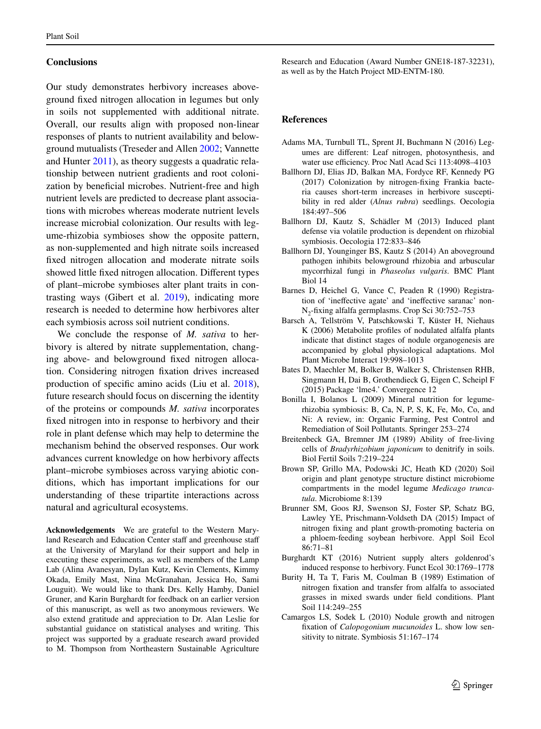# **Conclusions**

Our study demonstrates herbivory increases aboveground fxed nitrogen allocation in legumes but only in soils not supplemented with additional nitrate. Overall, our results align with proposed non-linear responses of plants to nutrient availability and belowground mutualists (Treseder and Allen [2002;](#page-15-31) Vannette and Hunter [2011\)](#page-15-13), as theory suggests a quadratic relationship between nutrient gradients and root colonization by beneficial microbes. Nutrient-free and high nutrient levels are predicted to decrease plant associations with microbes whereas moderate nutrient levels increase microbial colonization. Our results with legume-rhizobia symbioses show the opposite pattern, as non-supplemented and high nitrate soils increased fxed nitrogen allocation and moderate nitrate soils showed little fxed nitrogen allocation. Diferent types of plant–microbe symbioses alter plant traits in contrasting ways (Gibert et al. [2019](#page-13-35)), indicating more research is needed to determine how herbivores alter each symbiosis across soil nutrient conditions.

We conclude the response of *M. sativa* to herbivory is altered by nitrate supplementation, changing above- and belowground fxed nitrogen allocation. Considering nitrogen fxation drives increased production of specifc amino acids (Liu et al. [2018](#page-14-32)), future research should focus on discerning the identity of the proteins or compounds *M. sativa* incorporates fxed nitrogen into in response to herbivory and their role in plant defense which may help to determine the mechanism behind the observed responses. Our work advances current knowledge on how herbivory afects plant–microbe symbioses across varying abiotic conditions, which has important implications for our understanding of these tripartite interactions across natural and agricultural ecosystems.

**Acknowledgements** We are grateful to the Western Maryland Research and Education Center staff and greenhouse staff at the University of Maryland for their support and help in executing these experiments, as well as members of the Lamp Lab (Alina Avanesyan, Dylan Kutz, Kevin Clements, Kimmy Okada, Emily Mast, Nina McGranahan, Jessica Ho, Sami Louguit). We would like to thank Drs. Kelly Hamby, Daniel Gruner, and Karin Burghardt for feedback on an earlier version of this manuscript, as well as two anonymous reviewers. We also extend gratitude and appreciation to Dr. Alan Leslie for substantial guidance on statistical analyses and writing. This project was supported by a graduate research award provided to M. Thompson from Northeastern Sustainable Agriculture

Research and Education (Award Number GNE18-187-32231), as well as by the Hatch Project MD-ENTM-180.

#### **References**

- <span id="page-12-3"></span>Adams MA, Turnbull TL, Sprent JI, Buchmann N (2016) Legumes are diferent: Leaf nitrogen, photosynthesis, and water use efficiency. Proc Natl Acad Sci 113:4098-4103
- <span id="page-12-4"></span>Ballhorn DJ, Elias JD, Balkan MA, Fordyce RF, Kennedy PG (2017) Colonization by nitrogen-fxing Frankia bacteria causes short-term increases in herbivore susceptibility in red alder (*Alnus rubra*) seedlings. Oecologia 184:497–506
- <span id="page-12-5"></span>Ballhorn DJ, Kautz S, Schädler M (2013) Induced plant defense via volatile production is dependent on rhizobial symbiosis. Oecologia 172:833–846
- <span id="page-12-13"></span>Ballhorn DJ, Younginger BS, Kautz S (2014) An aboveground pathogen inhibits belowground rhizobia and arbuscular mycorrhizal fungi in *Phaseolus vulgaris*. BMC Plant Biol 14
- <span id="page-12-8"></span>Barnes D, Heichel G, Vance C, Peaden R (1990) Registration of 'inefective agate' and 'inefective saranac' non-N<sub>2</sub>-fixing alfalfa germplasms. Crop Sci 30:752–753
- <span id="page-12-2"></span>Barsch A, Tellström V, Patschkowski T, Küster H, Niehaus K (2006) Metabolite profles of nodulated alfalfa plants indicate that distinct stages of nodule organogenesis are accompanied by global physiological adaptations. Mol Plant Microbe Interact 19:998–1013
- <span id="page-12-9"></span>Bates D, Maechler M, Bolker B, Walker S, Christensen RHB, Singmann H, Dai B, Grothendieck G, Eigen C, Scheipl F (2015) Package 'lme4.' Convergence 12
- <span id="page-12-11"></span>Bonilla I, Bolanos L (2009) Mineral nutrition for legumerhizobia symbiosis: B, Ca, N, P, S, K, Fe, Mo, Co, and Ni: A review, in: Organic Farming, Pest Control and Remediation of Soil Pollutants. Springer 253–274
- <span id="page-12-12"></span>Breitenbeck GA, Bremner JM (1989) Ability of free-living cells of *Bradyrhizobium japonicum* to denitrify in soils. Biol Fertil Soils 7:219–224
- <span id="page-12-7"></span>Brown SP, Grillo MA, Podowski JC, Heath KD (2020) Soil origin and plant genotype structure distinct microbiome compartments in the model legume *Medicago truncatula*. Microbiome 8:139
- <span id="page-12-6"></span>Brunner SM, Goos RJ, Swenson SJ, Foster SP, Schatz BG, Lawley YE, Prischmann-Voldseth DA (2015) Impact of nitrogen fxing and plant growth-promoting bacteria on a phloem-feeding soybean herbivore. Appl Soil Ecol 86:71–81
- <span id="page-12-10"></span>Burghardt KT (2016) Nutrient supply alters goldenrod's induced response to herbivory. Funct Ecol 30:1769–1778
- <span id="page-12-0"></span>Burity H, Ta T, Faris M, Coulman B (1989) Estimation of nitrogen fxation and transfer from alfalfa to associated grasses in mixed swards under feld conditions. Plant Soil 114:249–255
- <span id="page-12-1"></span>Camargos LS, Sodek L (2010) Nodule growth and nitrogen fxation of *Calopogonium mucunoides* L. show low sensitivity to nitrate. Symbiosis 51:167–174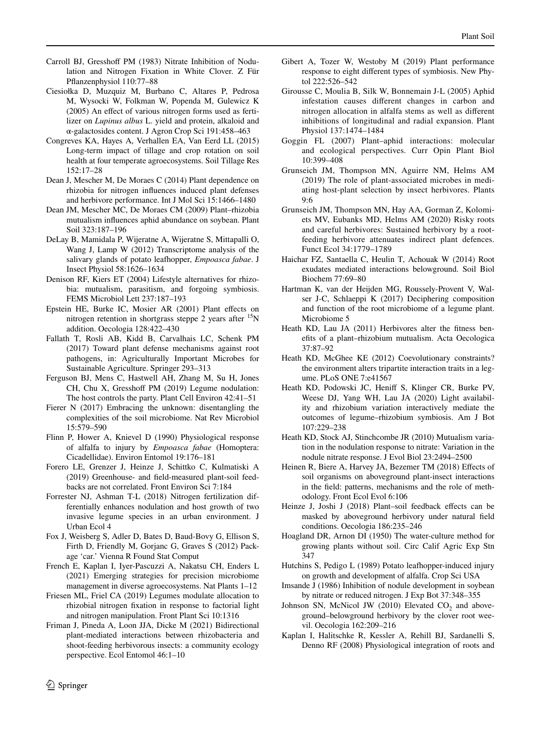- <span id="page-13-8"></span>Carroll BJ, Gresshoff PM (1983) Nitrate Inhibition of Nodulation and Nitrogen Fixation in White Clover. Z Für Pfanzenphysiol 110:77–88
- <span id="page-13-31"></span>Ciesiołka D, Muzquiz M, Burbano C, Altares P, Pedrosa M, Wysocki W, Folkman W, Popenda M, Gulewicz K (2005) An efect of various nitrogen forms used as fertilizer on *Lupinus albus* L. yield and protein, alkaloid and α-galactosides content. J Agron Crop Sci 191:458–463
- <span id="page-13-1"></span>Congreves KA, Hayes A, Verhallen EA, Van Eerd LL (2015) Long-term impact of tillage and crop rotation on soil health at four temperate agroecosystems. Soil Tillage Res 152:17–28
- <span id="page-13-26"></span>Dean J, Mescher M, De Moraes C (2014) Plant dependence on rhizobia for nitrogen infuences induced plant defenses and herbivore performance. Int J Mol Sci 15:1466–1480
- <span id="page-13-32"></span>Dean JM, Mescher MC, De Moraes CM (2009) Plant–rhizobia mutualism infuences aphid abundance on soybean. Plant Soil 323:187–196
- <span id="page-13-29"></span>DeLay B, Mamidala P, Wijeratne A, Wijeratne S, Mittapalli O, Wang J, Lamp W (2012) Transcriptome analysis of the salivary glands of potato leafhopper, *Empoasca fabae*. J Insect Physiol 58:1626–1634
- <span id="page-13-6"></span>Denison RF, Kiers ET (2004) Lifestyle alternatives for rhizobia: mutualism, parasitism, and forgoing symbiosis. FEMS Microbiol Lett 237:187–193
- <span id="page-13-21"></span>Epstein HE, Burke IC, Mosier AR (2001) Plant efects on nitrogen retention in shortgrass steppe 2 years after  $15N$ addition. Oecologia 128:422–430
- <span id="page-13-2"></span>Fallath T, Rosli AB, Kidd B, Carvalhais LC, Schenk PM (2017) Toward plant defense mechanisms against root pathogens, in: Agriculturally Important Microbes for Sustainable Agriculture. Springer 293–313
- <span id="page-13-7"></span>Ferguson BJ, Mens C, Hastwell AH, Zhang M, Su H, Jones CH, Chu X, Gresshoff PM (2019) Legume nodulation: The host controls the party. Plant Cell Environ 42:41–51
- <span id="page-13-14"></span>Fierer N (2017) Embracing the unknown: disentangling the complexities of the soil microbiome. Nat Rev Microbiol 15:579–590
- <span id="page-13-18"></span>Flinn P, Hower A, Knievel D (1990) Physiological response of alfalfa to injury by *Empoasca fabae* (Homoptera: Cicadellidae). Environ Entomol 19:176–181
- <span id="page-13-17"></span>Forero LE, Grenzer J, Heinze J, Schittko C, Kulmatiski A (2019) Greenhouse- and feld-measured plant-soil feedbacks are not correlated. Front Environ Sci 7:184
- <span id="page-13-30"></span>Forrester NJ, Ashman T-L (2018) Nitrogen fertilization differentially enhances nodulation and host growth of two invasive legume species in an urban environment. J Urban Ecol 4
- <span id="page-13-22"></span>Fox J, Weisberg S, Adler D, Bates D, Baud-Bovy G, Ellison S, Firth D, Friendly M, Gorjanc G, Graves S (2012) Package 'car.' Vienna R Found Stat Comput
- <span id="page-13-25"></span>French E, Kaplan I, Iyer-Pascuzzi A, Nakatsu CH, Enders L (2021) Emerging strategies for precision microbiome management in diverse agroecosystems. Nat Plants 1–12
- <span id="page-13-19"></span>Friesen ML, Friel CA (2019) Legumes modulate allocation to rhizobial nitrogen fxation in response to factorial light and nitrogen manipulation. Front Plant Sci 10:1316
- <span id="page-13-5"></span>Friman J, Pineda A, Loon JJA, Dicke M (2021) Bidirectional plant-mediated interactions between rhizobacteria and shoot-feeding herbivorous insects: a community ecology perspective. Ecol Entomol 46:1–10
- <span id="page-13-35"></span>Gibert A, Tozer W, Westoby M (2019) Plant performance response to eight diferent types of symbiosis. New Phytol 222:526–542
- <span id="page-13-28"></span>Girousse C, Moulia B, Silk W, Bonnemain J-L (2005) Aphid infestation causes diferent changes in carbon and nitrogen allocation in alfalfa stems as well as diferent inhibitions of longitudinal and radial expansion. Plant Physiol 137:1474–1484
- <span id="page-13-27"></span>Goggin FL (2007) Plant–aphid interactions: molecular and ecological perspectives. Curr Opin Plant Biol 10:399–408
- <span id="page-13-4"></span>Grunseich JM, Thompson MN, Aguirre NM, Helms AM (2019) The role of plant-associated microbes in mediating host-plant selection by insect herbivores. Plants 9:6
- <span id="page-13-3"></span>Grunseich JM, Thompson MN, Hay AA, Gorman Z, Kolomiets MV, Eubanks MD, Helms AM (2020) Risky roots and careful herbivores: Sustained herbivory by a rootfeeding herbivore attenuates indirect plant defences. Funct Ecol 34:1779–1789
- <span id="page-13-0"></span>Haichar FZ, Santaella C, Heulin T, Achouak W (2014) Root exudates mediated interactions belowground. Soil Biol Biochem 77:69–80
- <span id="page-13-15"></span>Hartman K, van der Heijden MG, Roussely-Provent V, Walser J-C, Schlaeppi K (2017) Deciphering composition and function of the root microbiome of a legume plant. Microbiome 5
- <span id="page-13-11"></span>Heath KD, Lau JA (2011) Herbivores alter the ftness benefts of a plant–rhizobium mutualism. Acta Oecologica 37:87–92
- <span id="page-13-12"></span>Heath KD, McGhee KE (2012) Coevolutionary constraints? the environment alters tripartite interaction traits in a legume. PLoS ONE 7:e41567
- <span id="page-13-33"></span>Heath KD, Podowski JC, Henif S, Klinger CR, Burke PV, Weese DJ, Yang WH, Lau JA (2020) Light availability and rhizobium variation interactively mediate the outcomes of legume–rhizobium symbiosis. Am J Bot 107:229–238
- <span id="page-13-13"></span>Heath KD, Stock AJ, Stinchcombe JR (2010) Mutualism variation in the nodulation response to nitrate: Variation in the nodule nitrate response. J Evol Biol 23:2494–2500
- <span id="page-13-24"></span>Heinen R, Biere A, Harvey JA, Bezemer TM (2018) Effects of soil organisms on aboveground plant-insect interactions in the feld: patterns, mechanisms and the role of methodology. Front Ecol Evol 6:106
- <span id="page-13-16"></span>Heinze J, Joshi J (2018) Plant–soil feedback efects can be masked by aboveground herbivory under natural feld conditions. Oecologia 186:235–246
- <span id="page-13-23"></span>Hoagland DR, Arnon DI (1950) The water-culture method for growing plants without soil. Circ Calif Agric Exp Stn 347
- <span id="page-13-20"></span>Hutchins S, Pedigo L (1989) Potato leafhopper-induced injury on growth and development of alfalfa. Crop Sci USA
- <span id="page-13-9"></span>Imsande J (1986) Inhibition of nodule development in soybean by nitrate or reduced nitrogen. J Exp Bot 37:348–355
- <span id="page-13-34"></span>Johnson SN, McNicol JW (2010) Elevated  $CO<sub>2</sub>$  and aboveground–belowground herbivory by the clover root weevil. Oecologia 162:209–216
- <span id="page-13-10"></span>Kaplan I, Halitschke R, Kessler A, Rehill BJ, Sardanelli S, Denno RF (2008) Physiological integration of roots and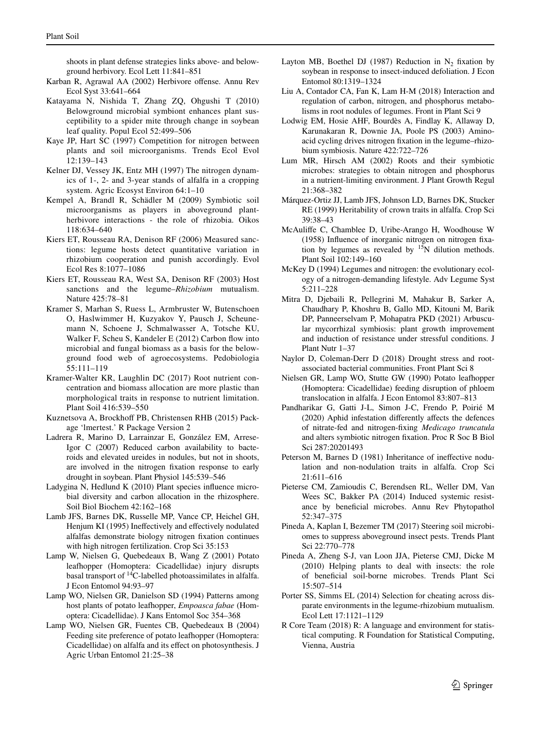shoots in plant defense strategies links above- and belowground herbivory. Ecol Lett 11:841–851

- <span id="page-14-24"></span>Karban R, Agrawal AA (2002) Herbivore ofense. Annu Rev Ecol Syst 33:641–664
- <span id="page-14-30"></span>Katayama N, Nishida T, Zhang ZQ, Ohgushi T (2010) Belowground microbial symbiont enhances plant susceptibility to a spider mite through change in soybean leaf quality. Popul Ecol 52:499–506
- <span id="page-14-31"></span>Kaye JP, Hart SC (1997) Competition for nitrogen between plants and soil microorganisms. Trends Ecol Evol 12:139–143
- <span id="page-14-28"></span>Kelner DJ, Vessey JK, Entz MH (1997) The nitrogen dynamics of 1-, 2- and 3-year stands of alfalfa in a cropping system. Agric Ecosyst Environ 64:1–10
- <span id="page-14-12"></span>Kempel A, Brandl R, Schädler M (2009) Symbiotic soil microorganisms as players in aboveground plantherbivore interactions - the role of rhizobia. Oikos 118:634–640
- <span id="page-14-27"></span>Kiers ET, Rousseau RA, Denison RF (2006) Measured sanctions: legume hosts detect quantitative variation in rhizobium cooperation and punish accordingly. Evol Ecol Res 8:1077–1086
- <span id="page-14-26"></span>Kiers ET, Rousseau RA, West SA, Denison RF (2003) Host sanctions and the legume–*Rhizobium* mutualism. Nature 425:78–81
- <span id="page-14-6"></span>Kramer S, Marhan S, Ruess L, Armbruster W, Butenschoen O, Haslwimmer H, Kuzyakov Y, Pausch J, Scheunemann N, Schoene J, Schmalwasser A, Totsche KU, Walker F, Scheu S, Kandeler E (2012) Carbon fow into microbial and fungal biomass as a basis for the belowground food web of agroecosystems. Pedobiologia 55:111–119
- <span id="page-14-0"></span>Kramer-Walter KR, Laughlin DC (2017) Root nutrient concentration and biomass allocation are more plastic than morphological traits in response to nutrient limitation. Plant Soil 416:539–550
- <span id="page-14-20"></span>Kuznetsova A, Brockhoff PB, Christensen RHB (2015) Package 'lmertest.' R Package Version 2
- <span id="page-14-10"></span>Ladrera R, Marino D, Larrainzar E, González EM, Arrese-Igor C (2007) Reduced carbon availability to bacteroids and elevated ureides in nodules, but not in shoots, are involved in the nitrogen fxation response to early drought in soybean. Plant Physiol 145:539–546
- <span id="page-14-7"></span>Ladygina N, Hedlund K (2010) Plant species infuence microbial diversity and carbon allocation in the rhizosphere. Soil Biol Biochem 42:162–168
- <span id="page-14-29"></span>Lamb JFS, Barnes DK, Russelle MP, Vance CP, Heichel GH, Henjum KI (1995) Ineffectively and effectively nodulated alfalfas demonstrate biology nitrogen fxation continues with high nitrogen fertilization. Crop Sci 35:153
- <span id="page-14-15"></span>Lamp W, Nielsen G, Quebedeaux B, Wang Z (2001) Potato leafhopper (Homoptera: Cicadellidae) injury disrupts basal transport of 14C-labelled photoassimilates in alfalfa. J Econ Entomol 94:93–97
- <span id="page-14-25"></span>Lamp WO, Nielsen GR, Danielson SD (1994) Patterns among host plants of potato leafhopper, *Empoasca fabae* (Homoptera: Cicadellidae). J Kans Entomol Soc 354–368
- <span id="page-14-13"></span>Lamp WO, Nielsen GR, Fuentes CB, Quebedeaux B (2004) Feeding site preference of potato leafhopper (Homoptera: Cicadellidae) on alfalfa and its efect on photosynthesis. J Agric Urban Entomol 21:25–38
- <span id="page-14-14"></span>Layton MB, Boethel DJ (1987) Reduction in  $N_2$  fixation by soybean in response to insect-induced defoliation. J Econ Entomol 80:1319–1324
- <span id="page-14-32"></span>Liu A, Contador CA, Fan K, Lam H-M (2018) Interaction and regulation of carbon, nitrogen, and phosphorus metabolisms in root nodules of legumes. Front in Plant Sci 9
- <span id="page-14-11"></span>Lodwig EM, Hosie AHF, Bourdès A, Findlay K, Allaway D, Karunakaran R, Downie JA, Poole PS (2003) Aminoacid cycling drives nitrogen fxation in the legume–rhizobium symbiosis. Nature 422:722–726
- <span id="page-14-2"></span>Lum MR, Hirsch AM (2002) Roots and their symbiotic microbes: strategies to obtain nitrogen and phosphorus in a nutrient-limiting environment. J Plant Growth Regul 21:368–382
- <span id="page-14-18"></span>Márquez-Ortiz JJ, Lamb JFS, Johnson LD, Barnes DK, Stucker RE (1999) Heritability of crown traits in alfalfa. Crop Sci 39:38–43
- <span id="page-14-21"></span>McAulife C, Chamblee D, Uribe-Arango H, Woodhouse W (1958) Infuence of inorganic nitrogen on nitrogen fxation by legumes as revealed by  $15N$  dilution methods. Plant Soil 102:149–160
- <span id="page-14-9"></span>McKey D (1994) Legumes and nitrogen: the evolutionary ecology of a nitrogen-demanding lifestyle. Adv Legume Syst 5:211–228
- <span id="page-14-5"></span>Mitra D, Djebaili R, Pellegrini M, Mahakur B, Sarker A, Chaudhary P, Khoshru B, Gallo MD, Kitouni M, Barik DP, Panneerselvam P, Mohapatra PKD (2021) Arbuscular mycorrhizal symbiosis: plant growth improvement and induction of resistance under stressful conditions. J Plant Nutr 1–37
- <span id="page-14-1"></span>Naylor D, Coleman-Derr D (2018) Drought stress and rootassociated bacterial communities. Front Plant Sci 8
- <span id="page-14-16"></span>Nielsen GR, Lamp WO, Stutte GW (1990) Potato leafhopper (Homoptera: Cicadellidae) feeding disruption of phloem translocation in alfalfa. J Econ Entomol 83:807–813
- <span id="page-14-23"></span>Pandharikar G, Gatti J-L, Simon J-C, Frendo P, Poirié M (2020) Aphid infestation diferently afects the defences of nitrate-fed and nitrogen-fxing *Medicago truncatula* and alters symbiotic nitrogen fxation. Proc R Soc B Biol Sci 287:20201493
- <span id="page-14-17"></span>Peterson M, Barnes D (1981) Inheritance of inefective nodulation and non-nodulation traits in alfalfa. Crop Sci 21:611–616
- <span id="page-14-4"></span>Pieterse CM, Zamioudis C, Berendsen RL, Weller DM, Van Wees SC, Bakker PA (2014) Induced systemic resistance by benefcial microbes. Annu Rev Phytopathol 52:347–375
- <span id="page-14-22"></span>Pineda A, Kaplan I, Bezemer TM (2017) Steering soil microbiomes to suppress aboveground insect pests. Trends Plant Sci 22:770–778
- <span id="page-14-3"></span>Pineda A, Zheng S-J, van Loon JJA, Pieterse CMJ, Dicke M (2010) Helping plants to deal with insects: the role of benefcial soil-borne microbes. Trends Plant Sci 15:507–514
- <span id="page-14-8"></span>Porter SS, Simms EL (2014) Selection for cheating across disparate environments in the legume-rhizobium mutualism. Ecol Lett 17:1121–1129
- <span id="page-14-19"></span>R Core Team (2018) R: A language and environment for statistical computing. R Foundation for Statistical Computing, Vienna, Austria